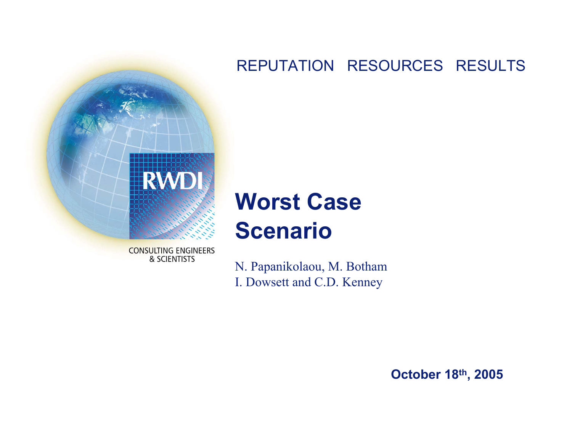#### REPUTATION RESOURCES RESULTS



# **Worst Case Scenario**

**CONSULTING ENGINEERS** & SCIENTISTS

N. Papanikolaou, M. Botham I. Dowsett and C.D. Kenney

**October 18th, 2005**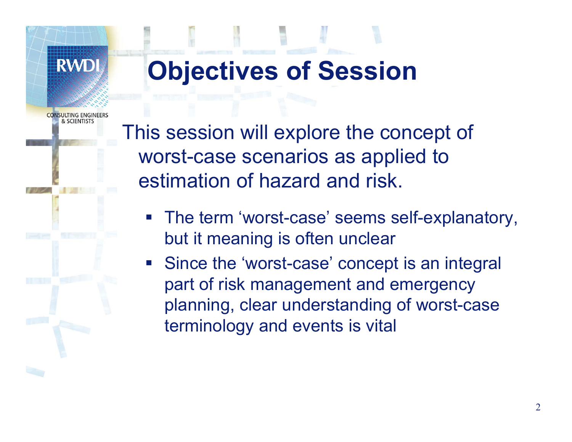# **Objectives of Session**

**& SCIENTISTS** 

**RWD** 

This session will explore the concept of worst-case scenarios as applied to estimation of hazard and risk.

- The term 'worst-case' seems self-explanatory, but it meaning is often unclear
- Since the 'worst-case' concept is an integral part of risk management and emergency planning, clear understanding of worst-case terminology and events is vital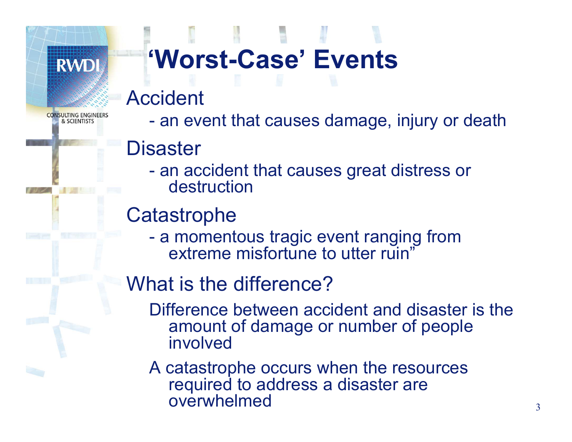

SULTING ENGINE & SCIENTISTS

# **'Worst-Case' Events**

## Accident

an event that causes damage, injury or death

## **Disaster**

 an accident that causes great distress or destruction

## **Catastrophe**

 a momentous tragic event ranging from extreme misfortune to utter ruin'

## What is the difference?

- Difference between accident and disaster is the amount of damage or number of people involved
- A catastrophe occurs when the resources required to address a disaster are overwhelmed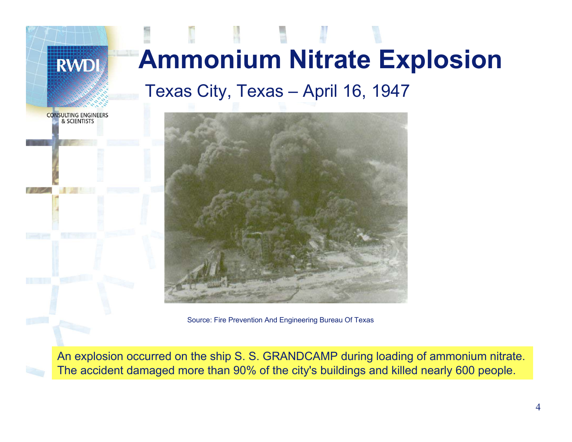

Source: Fire Prevention And Engineering Bureau Of Texas

An explosion occurred on the ship S. S. GRANDCAMP during loading of ammonium nitrate. The accident damaged more than 90% of the city's buildings and killed nearly 600 people.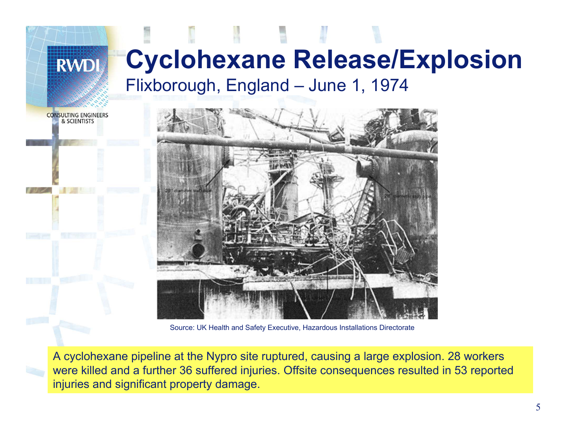**RWD** 

## **Cyclohexane Release/Explosion** Flixborough, England – June 1, 1974





Source: UK Health and Safety Executive, Hazardous Installations Directorate

A cyclohexane pipeline at the Nypro site ruptured, causing a large explosion. 28 workers were killed and a further 36 suffered injuries. Offsite consequences resulted in 53 reported injuries and significant property damage.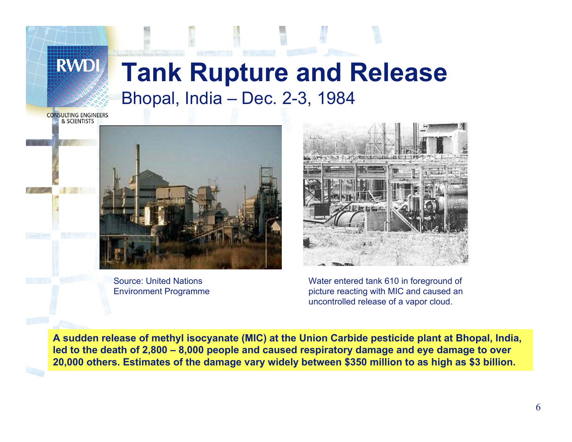## **Tank Rupture and Release** Bhopal, India – Dec. 2-3, 1984

**CONSULTING ENGINEERS** & SCIENTISTS

**RWD** 



Source: United Nations Environment Programme



Water entered tank 610 in foreground of picture reacting with MIC and caused an uncontrolled release of a vapor cloud.

**A sudden release of methyl isocyanate (MIC) at the Union Carbide pesticide plant at Bhopal, India, led to the death of 2,800 – 8,000 people and caused respiratory damage and eye damage to over 20,000 others. Estimates of the damage vary widely between \$350 million to as high as \$3 billion.**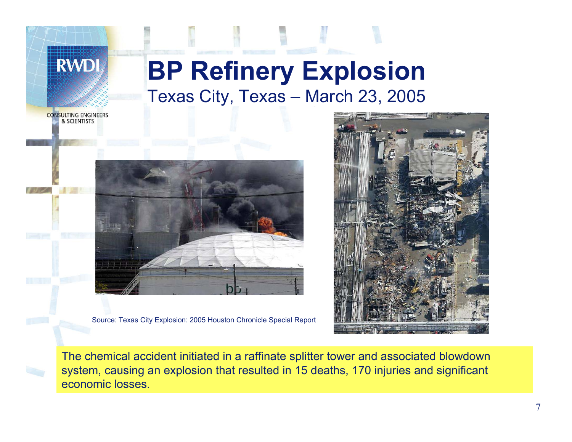

**CONSULTING ENGINEERS** & SCIENTISTS

**RWD** 



Source: Texas City Explosion: 2005 Houston Chronicle Special Report



The chemical accident initiated in a raffinate splitter tower and associated blowdown system, causing an explosion that resulted in 15 deaths, 170 injuries and significant economic losses.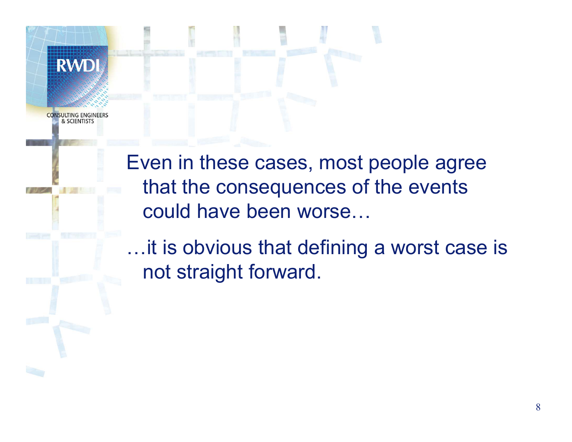

**CONSULTING ENGINE** & SCIENTISTS

> Even in these cases, most people agree that the consequences of the events could have been worse…

…it is obvious that defining a worst case is not straight forward.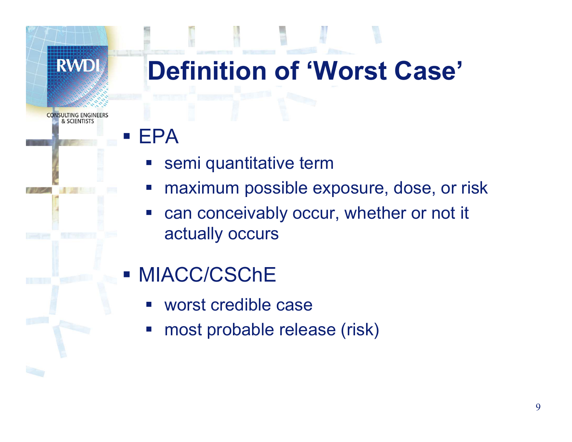**ISULTING ENGINEERS** & SCIENTISTS

# **Definition of 'Worst Case'**

#### $\mathcal{L}_{\mathcal{A}}$ EPA

- semi quantitative term
- maximum possible exposure, dose, or risk
- can conceivably occur, whether or not it actually occurs

## MIACC/CSChE

- worst credible case
- most probable release (risk)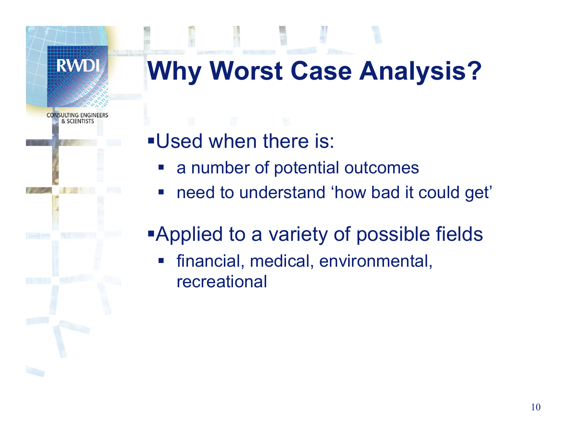

# **Why Worst Case Analysis?**

- Used when there is:
	- a number of potential outcomes
	- need to understand 'how bad it could get'

# Applied to a variety of possible fields

 financial, medical, environmental, recreational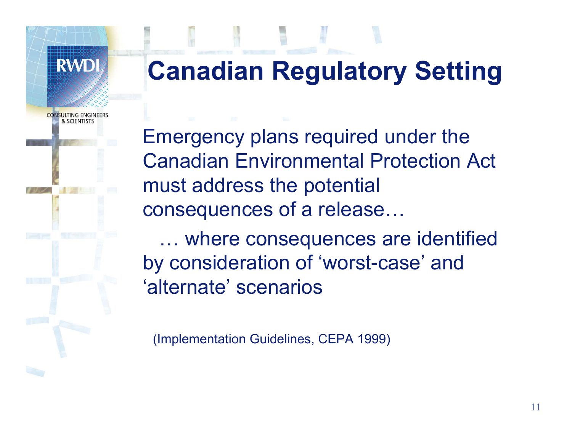

& SCIENTISTS

# **Canadian Regulatory Setting**

Emergency plans required under the Canadian Environmental Protection Act must address the potential consequences of a release…

… where consequences are identified by consideration of 'worst-case' and 'alternate' scenarios

(Implementation Guidelines, CEPA 1999)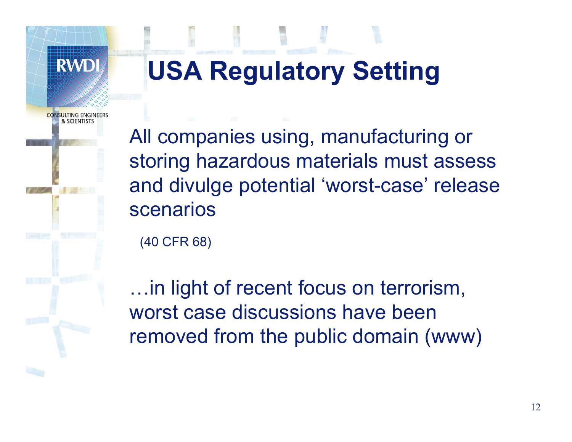

**SLIITING ENGIN** & SCIENTISTS

# **USA Regulatory Setting**

All companies using, manufacturing or storing hazardous materials must assess and divulge potential 'worst-case' release scenarios

(40 CFR 68)

…in light of recent focus on terrorism, worst case discussions have been removed from the public domain (www)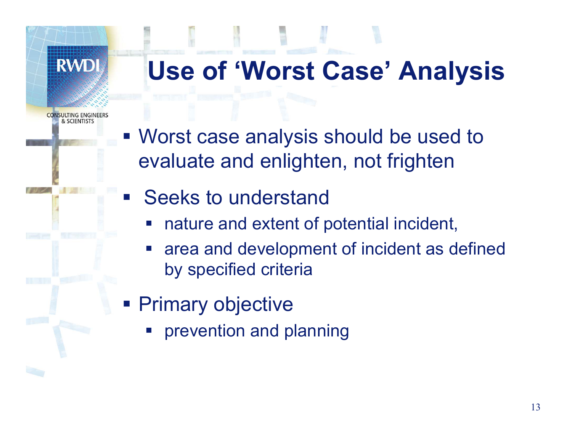**Use of 'Worst Case' Analysis**

**CONSULTING ENGINE** & SCIENTISTS

- Worst case analysis should be used to evaluate and enlighten, not frighten
- Seeks to understand
	- nature and extent of potential incident,
	- area and development of incident as defined by specified criteria
- **Primary objective** 
	- $\mathcal{L}_{\mathcal{A}}$ prevention and planning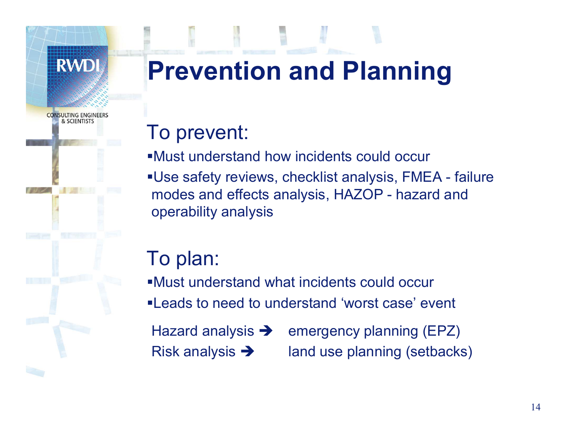

**CONSULTING ENGINE** & SCIENTISTS

# **Prevention and Planning**

## To prevent:

- Must understand how incidents could occur
- Use safety reviews, checklist analysis, FMEA failure modes and effects analysis, HAZOP - hazard and operability analysis

## To plan:

- Must understand what incidents could occur
- Leads to need to understand 'worst case' event
- Hazard analysis  $\rightarrow$ Risk analysis  $\rightarrow$
- emergency planning (EPZ) land use planning (setbacks)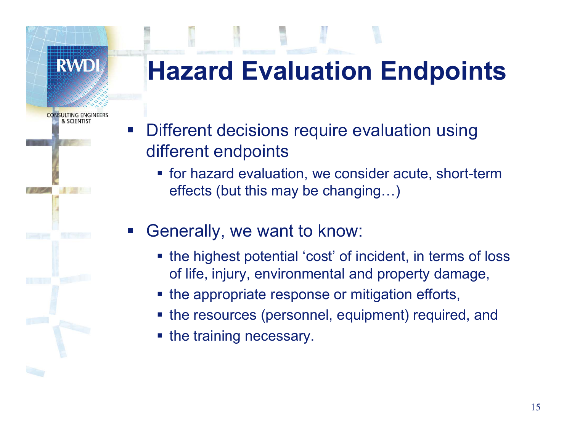**RWD** 

**CONSULTING ENGINE** & SCIENTIST

# **Hazard Evaluation Endpoints**

- $\mathcal{L}_{\mathcal{A}}$  Different decisions require evaluation using different endpoints
	- for hazard evaluation, we consider acute, short-term effects (but this may be changing…)
- Generally, we want to know:
	- the highest potential 'cost' of incident, in terms of loss of life, injury, environmental and property damage,
	- the appropriate response or mitigation efforts,
	- **the resources (personnel, equipment) required, and**
	- **Service Service** the training necessary.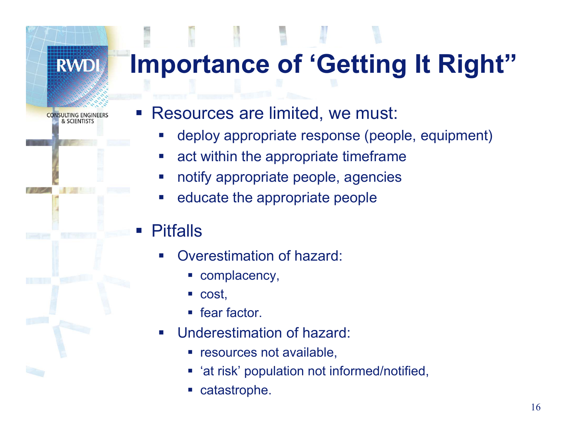# **Importance of 'Getting It Right"**

**CONSULTING ENGINEERS** & SCIENTISTS

**RWDI** 

#### Resources are limited, we must:

- p. deploy appropriate response (people, equipment)
- $\mathcal{L}_{\mathcal{A}}$ act within the appropriate timeframe
- p. notify appropriate people, agencies
- p. educate the appropriate people

### Pitfalls

- h. Overestimation of hazard:
	- complacency,
	- П cost,
	- П fear factor.
- p. Underestimation of hazard:
	- **Figure 1** resources not available,
	- П 'at risk' population not informed/notified,
	- П catastrophe.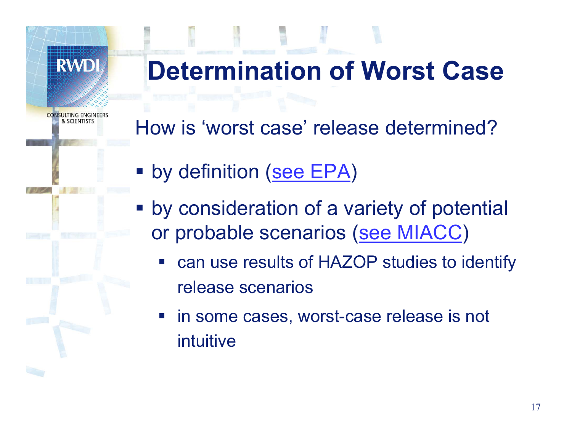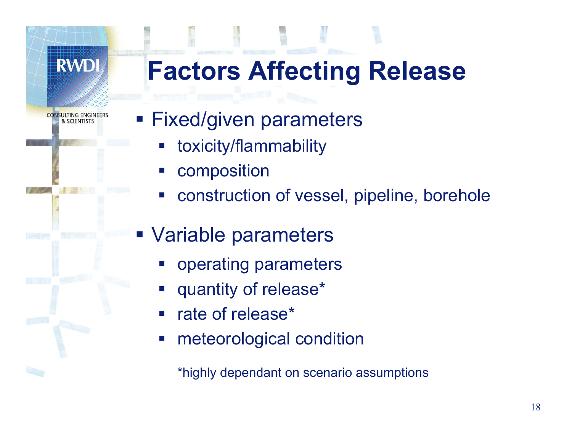**Factors Affecting Release**

**CONSULTING ENGINE** & SCIENTISTS

- **Fixed/given parameters** 
	- toxicity/flammability
	- composition
	- construction of vessel, pipeline, borehole
- Variable parameters
	- operating parameters
	- quantity of release\*
	- rate of release\*
	- $\mathcal{L}_{\text{max}}$ meteorological condition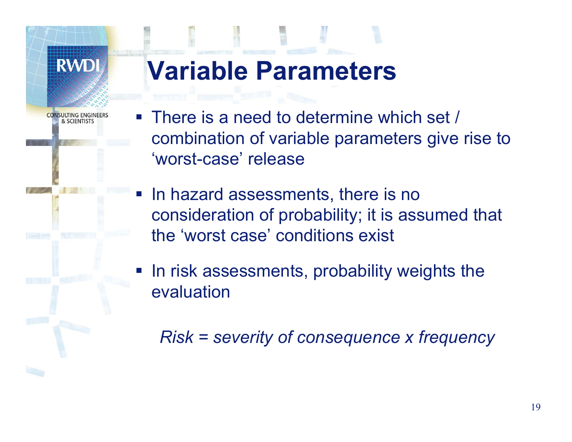**SULTING ENGIN** & SCIENTISTS

# **Variable Parameters**

- **There is a need to determine which set /** combination of variable parameters give rise to 'worst-case' release
- **In hazard assessments, there is no** consideration of probability; it is assumed that the 'worst case' conditions exist
- **IF In risk assessments, probability weights the** evaluation

*Risk = severity of consequence x frequency*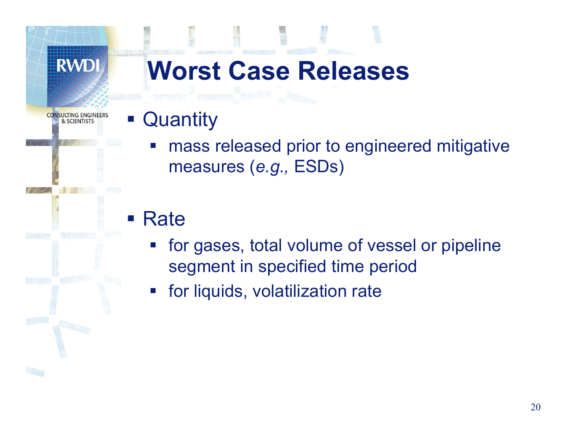#### **RWDI Worst Case ReleasesCONSULTING ENGINE Quantity**  $\mathcal{L}_{\mathcal{A}}$ & SCIENTISTS mass released prior to engineered mitigative measures (*e.g.,* ESDs) ■ Rate for gases, total volume of vessel or pipeline

- segment in specified time period
- for liquids, volatilization rate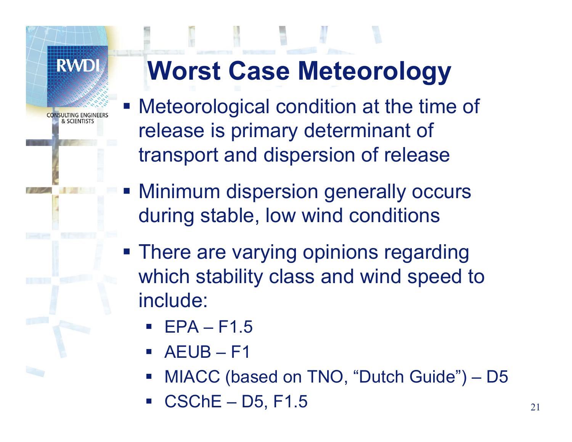

& SCIENTISTS

# **Worst Case Meteorology**

- Meteorological condition at the time of release is primary determinant of transport and dispersion of release
- Minimum dispersion generally occurs during stable, low wind conditions
- **There are varying opinions regarding** which stability class and wind speed to include:
	- EPA – F1.5
	- $\mathcal{L}^{\mathcal{A}}$ AEUB – F1
	- MIACC (based on TNO, "Dutch Guide") – D5
	- CSChE – D5, F1.5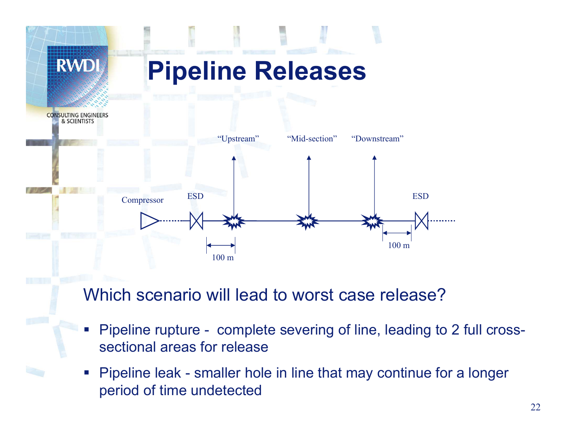

Which scenario will lead to worst case release?

- p. Pipeline rupture - complete severing of line, leading to 2 full crosssectional areas for release
- $\mathcal{L}_{\mathcal{A}}$  Pipeline leak - smaller hole in line that may continue for a longer period of time undetected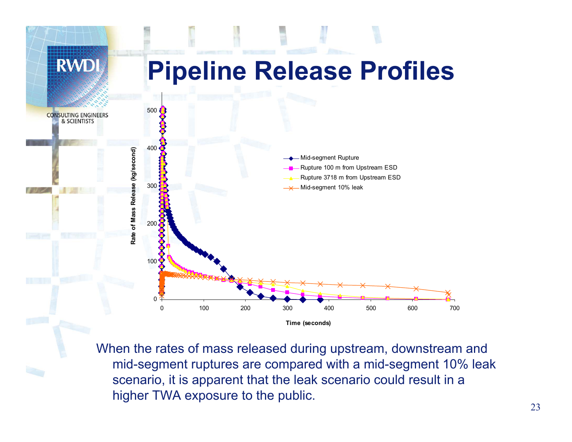

When the rates of mass released during upstream, downstream and mid-segment ruptures are compared with a mid-segment 10% leak scenario, it is apparent that the leak scenario could result in a higher TWA exposure to the public.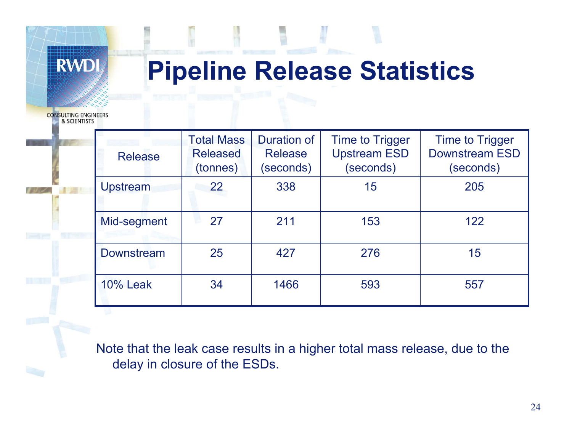# **Pipeline Release Statistics**

**CONSULTING ENGINEERS** & SCIENTISTS

| <b>Release</b>    | <b>Total Mass</b><br><b>Released</b><br>(tonnes) | <b>Duration of</b><br><b>Release</b><br>(seconds) | <b>Time to Trigger</b><br><b>Upstream ESD</b><br>(seconds) | <b>Time to Trigger</b><br><b>Downstream ESD</b><br>(seconds) |
|-------------------|--------------------------------------------------|---------------------------------------------------|------------------------------------------------------------|--------------------------------------------------------------|
| Upstream          | 22                                               | 338                                               | 15                                                         | 205                                                          |
| Mid-segment       | 27                                               | 211                                               | 153                                                        | 122                                                          |
| <b>Downstream</b> | 25                                               | 427                                               | 276                                                        | 15                                                           |
| <b>10% Leak</b>   | 34                                               | 1466                                              | 593                                                        | 557                                                          |

Note that the leak case results in a higher total mass release, due to the delay in closure of the ESDs.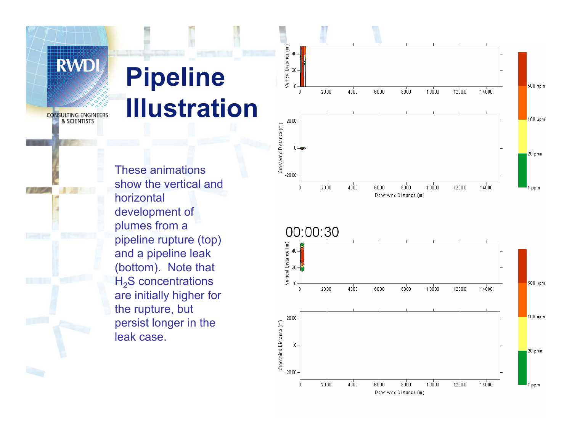# **Pipeline Illustration**

**CONSULTING ENGINEERS** & SCIENTISTS

**RWDI** 

These animations show the vertical and horizontal development of plumes from a pipeline rupture (top) and a pipeline leak (bottom). Note that H <sup>2</sup>S concentrations are initially higher for the rupture, but persist longer in the leak case.



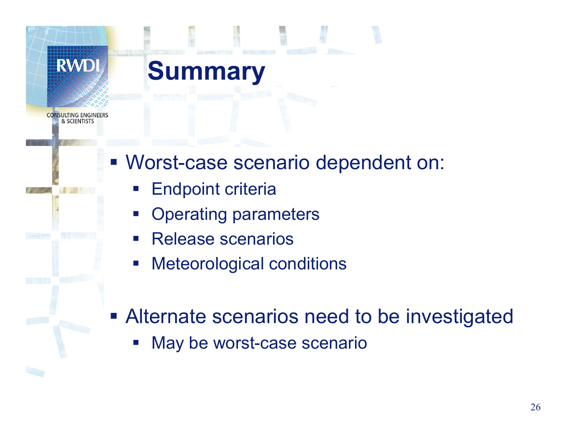## **Summary**

**SULTING ENGINE** & SCIENTISTS

- Worst-case scenario dependent on:
	- Endpoint criteria
	- Operating parameters
	- Release scenarios
	- $\mathcal{L}_{\mathcal{A}}$ Meteorological conditions
- **Alternate scenarios need to be investigated** 
	- May be worst-case scenario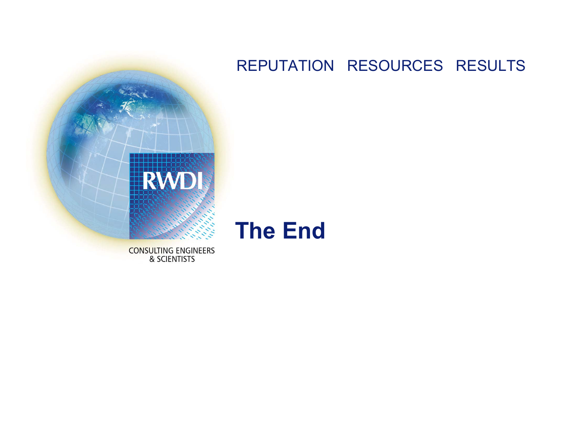# **RWD**

#### REPUTATION RESOURCES RESULTS



**CONSULTING ENGINEERS** & SCIENTISTS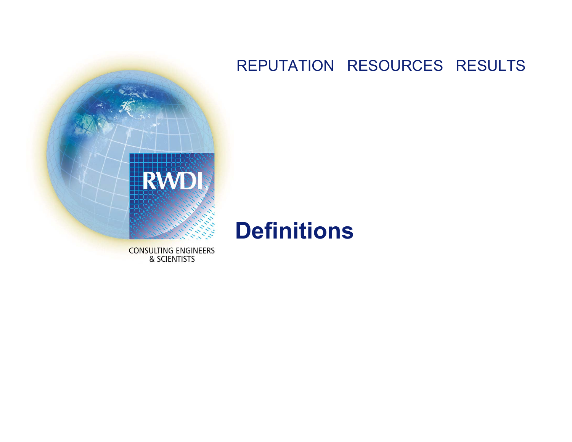# **RWD**

#### REPUTATION RESOURCES RESULTS

## **Definitions**

**CONSULTING ENGINEERS** & SCIENTISTS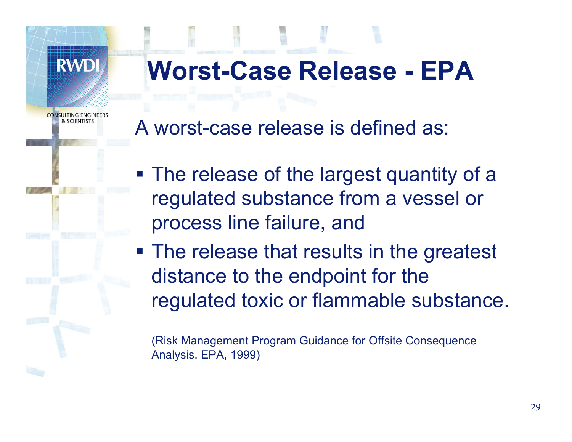# **Worst-Case Release - EPA**

**CONSULTING ENGINE** & SCIENTISTS

**RWD** 

A worst-case release is defined as:

**The release of the largest quantity of a** regulated substance from a vessel or process line failure, and

**The release that results in the greatest** distance to the endpoint for the regulated toxic or flammable substance.

(Risk Management Program Guidance for Offsite Consequence Analysis. EPA, 1999)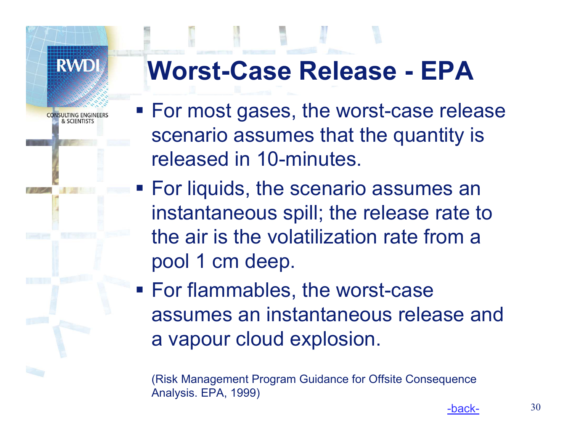**SULTING ENGINE** & SCIENTISTS

# **Worst-Case Release - EPA**

- **For most gases, the worst-case release** scenario assumes that the quantity is released in 10-minutes.
- For liquids, the scenario assumes an instantaneous spill; the release rate to the air is the volatilization rate from a pool 1 cm deep.
- For flammables, the worst-case assumes an instantaneous release and a vapour cloud explosion.

(Risk Management Program Guidance for Offsite Consequence Analysis. EPA, 1999)

-back-